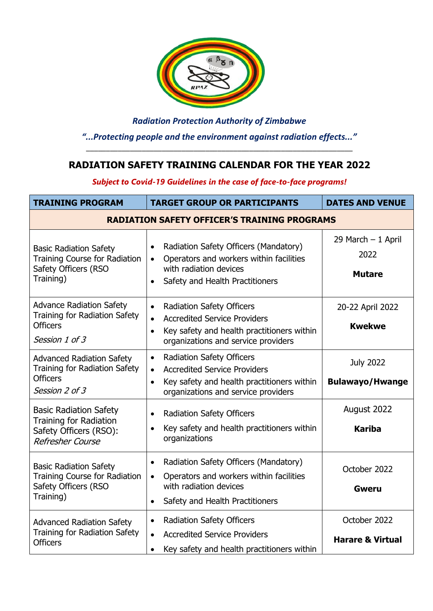

*Radiation Protection Authority of Zimbabwe "...Protecting people and the environment against radiation effects..."*

# **RADIATION SAFETY TRAINING CALENDAR FOR THE YEAR 2022**

\_\_\_\_\_\_\_\_\_\_\_\_\_\_\_\_\_\_\_\_\_\_\_\_\_\_\_\_\_\_\_\_\_\_\_\_\_\_\_\_\_\_\_\_\_\_\_\_\_\_\_\_\_\_\_\_\_\_\_\_\_\_\_\_\_\_\_

*Subject to Covid-19 Guidelines in the case of face-to-face programs!*

| <b>TRAINING PROGRAM</b>                                                                                           | <b>TARGET GROUP OR PARTICIPANTS</b>                                                                                                                                     | <b>DATES AND VENUE</b>                      |
|-------------------------------------------------------------------------------------------------------------------|-------------------------------------------------------------------------------------------------------------------------------------------------------------------------|---------------------------------------------|
| <b>RADIATION SAFETY OFFICER'S TRAINING PROGRAMS</b>                                                               |                                                                                                                                                                         |                                             |
| <b>Basic Radiation Safety</b><br><b>Training Course for Radiation</b><br>Safety Officers (RSO<br>Training)        | Radiation Safety Officers (Mandatory)<br>Operators and workers within facilities<br>$\bullet$<br>with radiation devices<br>Safety and Health Practitioners<br>$\bullet$ | 29 March - 1 April<br>2022<br><b>Mutare</b> |
| <b>Advance Radiation Safety</b><br><b>Training for Radiation Safety</b>                                           | <b>Radiation Safety Officers</b><br>$\bullet$<br><b>Accredited Service Providers</b>                                                                                    | 20-22 April 2022                            |
| <b>Officers</b><br>Session 1 of 3                                                                                 | $\bullet$<br>Key safety and health practitioners within<br>$\bullet$<br>organizations and service providers                                                             | <b>Kwekwe</b>                               |
| <b>Advanced Radiation Safety</b><br><b>Training for Radiation Safety</b>                                          | <b>Radiation Safety Officers</b><br>$\bullet$<br><b>Accredited Service Providers</b><br>$\bullet$                                                                       | <b>July 2022</b>                            |
| <b>Officers</b><br>Session 2 of 3                                                                                 | Key safety and health practitioners within<br>$\bullet$<br>organizations and service providers                                                                          | <b>Bulawayo/Hwange</b>                      |
| <b>Basic Radiation Safety</b>                                                                                     | <b>Radiation Safety Officers</b><br>$\bullet$                                                                                                                           | August 2022                                 |
| <b>Training for Radiation</b><br>Safety Officers (RSO):<br><b>Refresher Course</b>                                | Key safety and health practitioners within<br>$\bullet$<br>organizations                                                                                                | <b>Kariba</b>                               |
| <b>Basic Radiation Safety</b><br><b>Training Course for Radiation</b><br><b>Safety Officers (RSO</b><br>Training) | Radiation Safety Officers (Mandatory)<br>$\bullet$                                                                                                                      | October 2022                                |
|                                                                                                                   | Operators and workers within facilities<br>$\bullet$<br>with radiation devices                                                                                          | <b>Gweru</b>                                |
|                                                                                                                   | Safety and Health Practitioners                                                                                                                                         |                                             |
| <b>Advanced Radiation Safety</b>                                                                                  | <b>Radiation Safety Officers</b><br>$\bullet$                                                                                                                           | October 2022                                |
| <b>Training for Radiation Safety</b><br><b>Officers</b>                                                           | <b>Accredited Service Providers</b><br>$\bullet$<br>Key safety and health practitioners within<br>$\bullet$                                                             | <b>Harare &amp; Virtual</b>                 |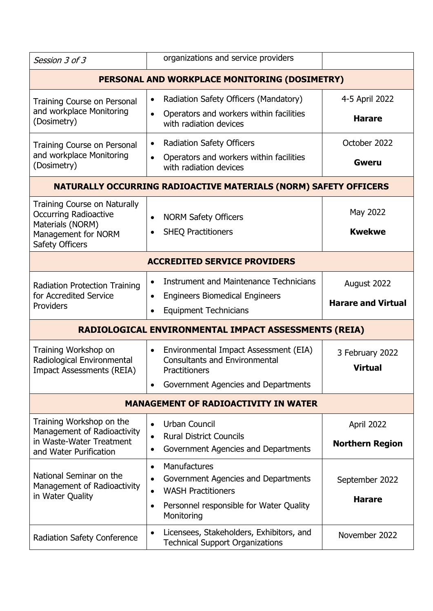| Session 3 of 3                                                                                                                    | organizations and service providers                                                                                                                                              |                                          |
|-----------------------------------------------------------------------------------------------------------------------------------|----------------------------------------------------------------------------------------------------------------------------------------------------------------------------------|------------------------------------------|
|                                                                                                                                   | PERSONAL AND WORKPLACE MONITORING (DOSIMETRY)                                                                                                                                    |                                          |
| Training Course on Personal<br>and workplace Monitoring<br>(Dosimetry)                                                            | Radiation Safety Officers (Mandatory)<br>$\bullet$<br>Operators and workers within facilities<br>$\bullet$<br>with radiation devices                                             | 4-5 April 2022<br><b>Harare</b>          |
| Training Course on Personal<br>and workplace Monitoring<br>(Dosimetry)                                                            | <b>Radiation Safety Officers</b><br>$\bullet$<br>Operators and workers within facilities<br>$\bullet$<br>with radiation devices                                                  | October 2022<br><b>Gweru</b>             |
|                                                                                                                                   | NATURALLY OCCURRING RADIOACTIVE MATERIALS (NORM) SAFETY OFFICERS                                                                                                                 |                                          |
| <b>Training Course on Naturally</b><br><b>Occurring Radioactive</b><br>Materials (NORM)<br>Management for NORM<br>Safety Officers | <b>NORM Safety Officers</b><br>$\bullet$<br><b>SHEQ Practitioners</b><br>$\bullet$                                                                                               | May 2022<br><b>Kwekwe</b>                |
| <b>ACCREDITED SERVICE PROVIDERS</b>                                                                                               |                                                                                                                                                                                  |                                          |
| <b>Radiation Protection Training</b><br>for Accredited Service<br>Providers                                                       | Instrument and Maintenance Technicians<br>$\bullet$<br><b>Engineers Biomedical Engineers</b><br>$\bullet$<br><b>Equipment Technicians</b><br>$\bullet$                           | August 2022<br><b>Harare and Virtual</b> |
| RADIOLOGICAL ENVIRONMENTAL IMPACT ASSESSMENTS (REIA)                                                                              |                                                                                                                                                                                  |                                          |
| Training Workshop on<br>Radiological Environmental<br><b>Impact Assessments (REIA)</b>                                            | Environmental Impact Assessment (EIA)<br>$\bullet$<br><b>Consultants and Environmental</b><br>Practitioners<br>Government Agencies and Departments                               | 3 February 2022<br><b>Virtual</b>        |
| <b>MANAGEMENT OF RADIOACTIVITY IN WATER</b>                                                                                       |                                                                                                                                                                                  |                                          |
| Training Workshop on the<br>Management of Radioactivity<br>in Waste-Water Treatment<br>and Water Purification                     | Urban Council<br>$\bullet$<br><b>Rural District Councils</b><br>$\bullet$<br>Government Agencies and Departments<br>$\bullet$                                                    | April 2022<br><b>Northern Region</b>     |
| National Seminar on the<br>Management of Radioactivity<br>in Water Quality                                                        | Manufactures<br>$\bullet$<br>Government Agencies and Departments<br>$\bullet$<br><b>WASH Practitioners</b><br>Personnel responsible for Water Quality<br>$\bullet$<br>Monitoring | September 2022<br><b>Harare</b>          |
| <b>Radiation Safety Conference</b>                                                                                                | Licensees, Stakeholders, Exhibitors, and<br><b>Technical Support Organizations</b>                                                                                               | November 2022                            |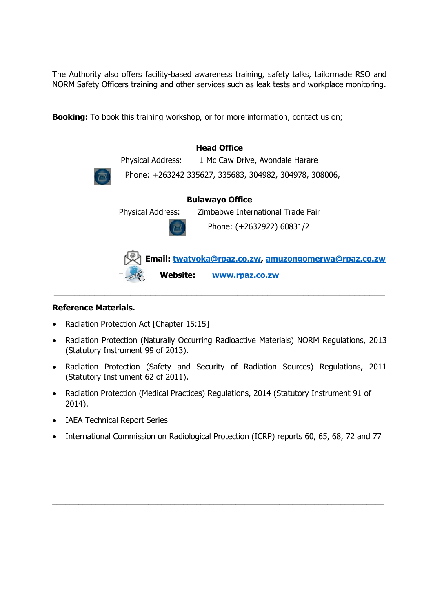The Authority also offers facility-based awareness training, safety talks, tailormade RSO and NORM Safety Officers training and other services such as leak tests and workplace monitoring.

**Booking:** To book this training workshop, or for more information, contact us on;

| <b>Head Office</b>                                                                        |
|-------------------------------------------------------------------------------------------|
| Physical Address:<br>1 Mc Caw Drive, Avondale Harare                                      |
| Phone: +263242 335627, 335683, 304982, 304978, 308006,<br>7 <sup>III</sup>                |
| <b>Bulawayo Office</b>                                                                    |
| Zimbabwe International Trade Fair<br><b>Physical Address:</b>                             |
| Phone: (+2632922) 60831/2                                                                 |
| Email: twatyoka@rpaz.co.zw, amuzongomerwa@rpaz.co.zw<br><b>Website:</b><br>www.rpaz.co.zw |

#### **Reference Materials.**

- Radiation Protection Act [Chapter 15:15]
- Radiation Protection (Naturally Occurring Radioactive Materials) NORM Regulations, 2013 (Statutory Instrument 99 of 2013).
- Radiation Protection (Safety and Security of Radiation Sources) Regulations, 2011 (Statutory Instrument 62 of 2011).
- Radiation Protection (Medical Practices) Regulations, 2014 (Statutory Instrument 91 of 2014).
- IAEA Technical Report Series
- International Commission on Radiological Protection (ICRP) reports 60, 65, 68, 72 and 77

\_\_\_\_\_\_\_\_\_\_\_\_\_\_\_\_\_\_\_\_\_\_\_\_\_\_\_\_\_\_\_\_\_\_\_\_\_\_\_\_\_\_\_\_\_\_\_\_\_\_\_\_\_\_\_\_\_\_\_\_\_\_\_\_\_\_\_\_\_\_\_\_\_\_\_\_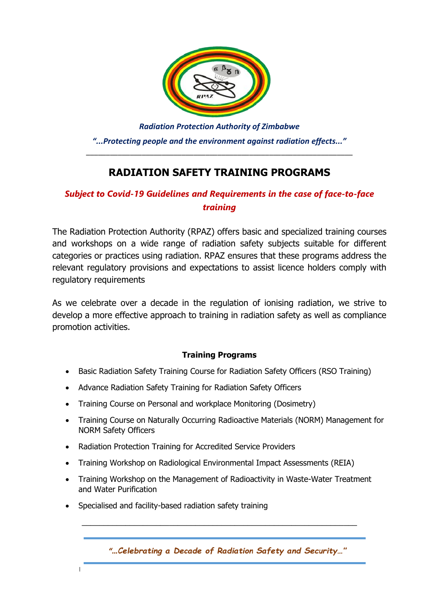

*Radiation Protection Authority of Zimbabwe "...Protecting people and the environment against radiation effects..."* \_\_\_\_\_\_\_\_\_\_\_\_\_\_\_\_\_\_\_\_\_\_\_\_\_\_\_\_\_\_\_\_\_\_\_\_\_\_\_\_\_\_\_\_\_\_\_\_\_\_\_\_\_\_\_\_\_\_\_\_\_\_\_\_\_\_\_

# **RADIATION SAFETY TRAINING PROGRAMS**

## *Subject to Covid-19 Guidelines and Requirements in the case of face-to-face training*

The Radiation Protection Authority (RPAZ) offers basic and specialized training courses and workshops on a wide range of radiation safety subjects suitable for different categories or practices using radiation. RPAZ ensures that these programs address the relevant regulatory provisions and expectations to assist licence holders comply with regulatory requirements

As we celebrate over a decade in the regulation of ionising radiation, we strive to develop a more effective approach to training in radiation safety as well as compliance promotion activities.

### **Training Programs**

- Basic Radiation Safety Training Course for Radiation Safety Officers (RSO Training)
- Advance Radiation Safety Training for Radiation Safety Officers
- Training Course on Personal and workplace Monitoring (Dosimetry)
- Training Course on Naturally Occurring Radioactive Materials (NORM) Management for NORM Safety Officers
- Radiation Protection Training for Accredited Service Providers
- Training Workshop on Radiological Environmental Impact Assessments (REIA)
- Training Workshop on the Management of Radioactivity in Waste-Water Treatment and Water Purification

\_\_\_\_\_\_\_\_\_\_\_\_\_\_\_\_\_\_\_\_\_\_\_\_\_\_\_\_\_\_\_\_\_\_\_\_\_\_\_\_\_\_\_\_\_\_\_\_\_\_\_\_\_\_\_\_\_\_\_\_\_\_\_

• Specialised and facility-based radiation safety training

 $\overline{\phantom{a}}$ 

"...Celebrating a Decade of Radiation Safety and Security..."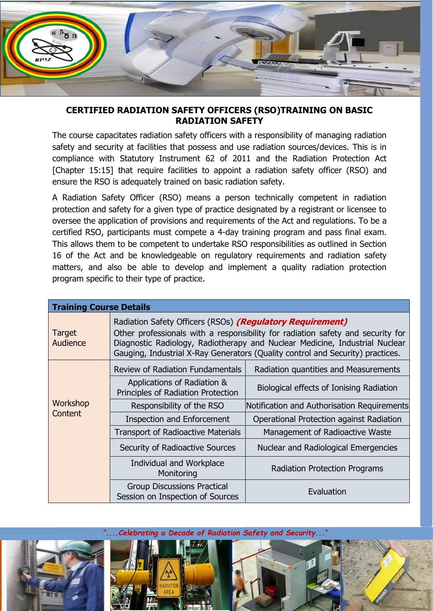

### **CERTIFIED RADIATION SAFETY OFFICERS (RSO)TRAINING ON BASIC RADIATION SAFETY**

The course capacitates radiation safety officers with a responsibility of managing radiation safety and security at facilities that possess and use radiation sources/devices. This is in compliance with Statutory Instrument 62 of 2011 and the Radiation Protection Act [Chapter 15:15] that require facilities to appoint a radiation safety officer (RSO) and ensure the RSO is adequately trained on basic radiation safety.

A Radiation Safety Officer (RSO) means a person technically competent in radiation protection and safety for a given type of practice designated by a registrant or licensee to oversee the application of provisions and requirements of the Act and regulations. To be a certified RSO, participants must compete a 4-day training program and pass final exam. This allows them to be competent to undertake RSO responsibilities as outlined in Section 16 of the Act and be knowledgeable on regulatory requirements and radiation safety matters, and also be able to develop and implement a quality radiation protection program specific to their type of practice.

| <b>Training Course Details</b> |                                                                                                                                                                                                                                                                                                               |                                             |
|--------------------------------|---------------------------------------------------------------------------------------------------------------------------------------------------------------------------------------------------------------------------------------------------------------------------------------------------------------|---------------------------------------------|
| <b>Target</b><br>Audience      | Radiation Safety Officers (RSOs) (Regulatory Requirement)<br>Other professionals with a responsibility for radiation safety and security for<br>Diagnostic Radiology, Radiotherapy and Nuclear Medicine, Industrial Nuclear<br>Gauging, Industrial X-Ray Generators (Quality control and Security) practices. |                                             |
| Workshop                       | Review of Radiation Fundamentals                                                                                                                                                                                                                                                                              | Radiation quantities and Measurements       |
|                                | Applications of Radiation &<br>Principles of Radiation Protection                                                                                                                                                                                                                                             | Biological effects of Ionising Radiation    |
|                                | Responsibility of the RSO                                                                                                                                                                                                                                                                                     | Notification and Authorisation Requirements |
| Content                        | <b>Inspection and Enforcement</b>                                                                                                                                                                                                                                                                             | Operational Protection against Radiation    |
|                                | <b>Transport of Radioactive Materials</b>                                                                                                                                                                                                                                                                     | Management of Radioactive Waste             |
|                                | Security of Radioactive Sources                                                                                                                                                                                                                                                                               | Nuclear and Radiological Emergencies        |
|                                | Individual and Workplace<br>Monitoring                                                                                                                                                                                                                                                                        | <b>Radiation Protection Programs</b>        |
|                                | <b>Group Discussions Practical</b><br>Session on Inspection of Sources                                                                                                                                                                                                                                        | Evaluation                                  |

*"....Celebrating a Decade of Radiation Safety and Security..."*



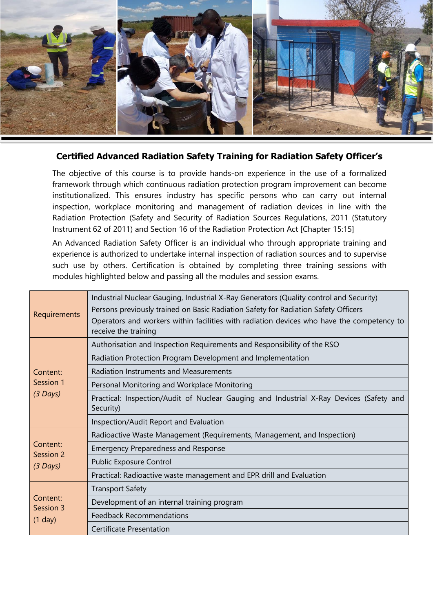

### **Certified Advanced Radiation Safety Training for Radiation Safety Officer's**

The objective of this course is to provide hands-on experience in the use of a formalized framework through which continuous radiation protection program improvement can become institutionalized. This ensures industry has specific persons who can carry out internal inspection, workplace monitoring and management of radiation devices in line with the Radiation Protection (Safety and Security of Radiation Sources Regulations, 2011 (Statutory Instrument 62 of 2011) and Section 16 of the Radiation Protection Act [Chapter 15:15]

An Advanced Radiation Safety Officer is an individual who through appropriate training and experience is authorized to undertake internal inspection of radiation sources and to supervise such use by others. Certification is obtained by completing three training sessions with modules highlighted below and passing all the modules and session exams.

| Requirements                        | Industrial Nuclear Gauging, Industrial X-Ray Generators (Quality control and Security)<br>Persons previously trained on Basic Radiation Safety for Radiation Safety Officers<br>Operators and workers within facilities with radiation devices who have the competency to<br>receive the training |
|-------------------------------------|---------------------------------------------------------------------------------------------------------------------------------------------------------------------------------------------------------------------------------------------------------------------------------------------------|
| Content:<br>Session 1<br>$(3$ Days) | Authorisation and Inspection Requirements and Responsibility of the RSO                                                                                                                                                                                                                           |
|                                     | Radiation Protection Program Development and Implementation                                                                                                                                                                                                                                       |
|                                     | Radiation Instruments and Measurements                                                                                                                                                                                                                                                            |
|                                     | Personal Monitoring and Workplace Monitoring                                                                                                                                                                                                                                                      |
|                                     | Practical: Inspection/Audit of Nuclear Gauging and Industrial X-Ray Devices (Safety and<br>Security)                                                                                                                                                                                              |
|                                     | Inspection/Audit Report and Evaluation                                                                                                                                                                                                                                                            |
|                                     | Radioactive Waste Management (Requirements, Management, and Inspection)                                                                                                                                                                                                                           |
| Content:<br>Session 2<br>$(3$ Days) | <b>Emergency Preparedness and Response</b>                                                                                                                                                                                                                                                        |
|                                     | Public Exposure Control                                                                                                                                                                                                                                                                           |
|                                     | Practical: Radioactive waste management and EPR drill and Evaluation                                                                                                                                                                                                                              |
| Content:<br>Session 3<br>(1 day)    | <b>Transport Safety</b>                                                                                                                                                                                                                                                                           |
|                                     | Development of an internal training program                                                                                                                                                                                                                                                       |
|                                     | <b>Feedback Recommendations</b>                                                                                                                                                                                                                                                                   |
|                                     | Certificate Presentation                                                                                                                                                                                                                                                                          |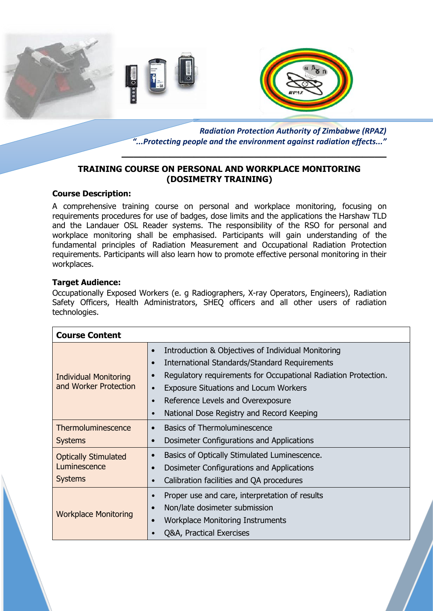



*Radiation Protection Authority of Zimbabwe (RPAZ) "...Protecting people and the environment against radiation effects..."*

**\_\_\_\_\_\_\_\_\_\_\_\_\_\_\_\_\_\_\_\_\_\_\_\_\_\_\_\_\_\_\_\_\_\_\_\_\_\_\_\_\_\_\_\_**

### **TRAINING COURSE ON PERSONAL AND WORKPLACE MONITORING (DOSIMETRY TRAINING)**

#### **Course Description:**

A comprehensive training course on personal and workplace monitoring, focusing on requirements procedures for use of badges, dose limits and the applications the Harshaw TLD and the Landauer OSL Reader systems. The responsibility of the RSO for personal and workplace monitoring shall be emphasised. Participants will gain understanding of the fundamental principles of Radiation Measurement and Occupational Radiation Protection requirements. Participants will also learn how to promote effective personal monitoring in their workplaces.

#### **Target Audience:**

Occupationally Exposed Workers (e. g Radiographers, X-ray Operators, Engineers), Radiation Safety Officers, Health Administrators, SHEQ officers and all other users of radiation technologies.

| <b>Course Content</b>                                         |                                                                                                                                                                                                                                                                                                                                                                                              |
|---------------------------------------------------------------|----------------------------------------------------------------------------------------------------------------------------------------------------------------------------------------------------------------------------------------------------------------------------------------------------------------------------------------------------------------------------------------------|
| <b>Individual Monitoring</b><br>and Worker Protection         | Introduction & Objectives of Individual Monitoring<br>$\bullet$<br><b>International Standards/Standard Requirements</b><br>$\bullet$<br>Regulatory requirements for Occupational Radiation Protection.<br>$\bullet$<br><b>Exposure Situations and Locum Workers</b><br>$\bullet$<br>Reference Levels and Overexposure<br>$\bullet$<br>National Dose Registry and Record Keeping<br>$\bullet$ |
| Thermoluminescence<br><b>Systems</b>                          | <b>Basics of Thermoluminescence</b><br>$\bullet$<br>Dosimeter Configurations and Applications<br>$\bullet$                                                                                                                                                                                                                                                                                   |
| <b>Optically Stimulated</b><br>Luminescence<br><b>Systems</b> | Basics of Optically Stimulated Luminescence.<br>$\bullet$<br>Dosimeter Configurations and Applications<br>Calibration facilities and QA procedures<br>$\bullet$                                                                                                                                                                                                                              |
| <b>Workplace Monitoring</b>                                   | Proper use and care, interpretation of results<br>$\bullet$<br>Non/late dosimeter submission<br>$\bullet$<br><b>Workplace Monitoring Instruments</b><br>$\bullet$<br>Q&A, Practical Exercises                                                                                                                                                                                                |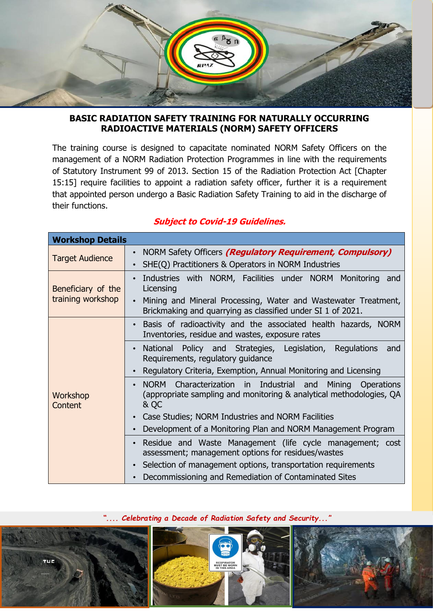

### **BASIC RADIATION SAFETY TRAINING FOR NATURALLY OCCURRING RADIOACTIVE MATERIALS (NORM) SAFETY OFFICERS**

The training course is designed to capacitate nominated NORM Safety Officers on the management of a NORM Radiation Protection Programmes in line with the requirements of Statutory Instrument 99 of 2013. Section 15 of the Radiation Protection Act [Chapter 15:15] require facilities to appoint a radiation safety officer, further it is a requirement that appointed person undergo a Basic Radiation Safety Training to aid in the discharge of their functions.

| <b>Workshop Details</b>                 |                                                                                                                                                                                                          |
|-----------------------------------------|----------------------------------------------------------------------------------------------------------------------------------------------------------------------------------------------------------|
| <b>Target Audience</b>                  | NORM Safety Officers <i>(Regulatory Requirement, Compulsory)</i><br>SHE(Q) Practitioners & Operators in NORM Industries                                                                                  |
| Beneficiary of the<br>training workshop | Industries with NORM, Facilities under NORM Monitoring and<br>Licensing<br>Mining and Mineral Processing, Water and Wastewater Treatment,<br>Brickmaking and quarrying as classified under SI 1 of 2021. |
|                                         | Basis of radioactivity and the associated health hazards, NORM<br>Inventories, residue and wastes, exposure rates                                                                                        |
|                                         | National Policy and Strategies, Legislation, Regulations<br>and<br>Requirements, regulatory guidance                                                                                                     |
|                                         | Regulatory Criteria, Exemption, Annual Monitoring and Licensing                                                                                                                                          |
| Workshop<br>Content                     | NORM Characterization in Industrial and<br>Mining Operations<br>(appropriate sampling and monitoring & analytical methodologies, QA<br>& QC                                                              |
|                                         | Case Studies; NORM Industries and NORM Facilities                                                                                                                                                        |
|                                         | Development of a Monitoring Plan and NORM Management Program                                                                                                                                             |
|                                         | Residue and Waste Management (life cycle management; cost<br>assessment; management options for residues/wastes                                                                                          |
|                                         | Selection of management options, transportation requirements                                                                                                                                             |
|                                         | Decommissioning and Remediation of Contaminated Sites                                                                                                                                                    |

## **Subject to Covid-19 Guidelines.**

*".... Celebrating a Decade of Radiation Safety and Security..."*

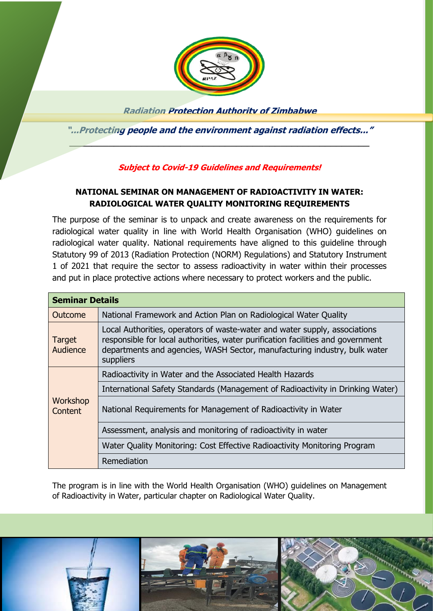

**Radiation Protection Authority of Zimbabwe**

**"...Protecting people and the environment against radiation effects..."**  $\mathcal{L}=\mathcal{L}^{\mathcal{L}}$  , where the contribution of the contribution of the contribution of the contribution of the contribution of the contribution of the contribution of the contribution of the contribution of the contrib

### **Subject to Covid-19 Guidelines and Requirements!**

## **NATIONAL SEMINAR ON MANAGEMENT OF RADIOACTIVITY IN WATER: RADIOLOGICAL WATER QUALITY MONITORING REQUIREMENTS**

The purpose of the seminar is to unpack and create awareness on the requirements for radiological water quality in line with World Health Organisation (WHO) guidelines on radiological water quality. National requirements have aligned to this guideline through Statutory 99 of 2013 (Radiation Protection (NORM) Regulations) and Statutory Instrument 1 of 2021 that require the sector to assess radioactivity in water within their processes and put in place protective actions where necessary to protect workers and the public.

| <b>Seminar Details</b> |                                                                                                                                                                                                                                                         |
|------------------------|---------------------------------------------------------------------------------------------------------------------------------------------------------------------------------------------------------------------------------------------------------|
| Outcome                | National Framework and Action Plan on Radiological Water Quality                                                                                                                                                                                        |
| Target<br>Audience     | Local Authorities, operators of waste-water and water supply, associations<br>responsible for local authorities, water purification facilities and government<br>departments and agencies, WASH Sector, manufacturing industry, bulk water<br>suppliers |
| Workshop<br>Content    | Radioactivity in Water and the Associated Health Hazards                                                                                                                                                                                                |
|                        | International Safety Standards (Management of Radioactivity in Drinking Water)                                                                                                                                                                          |
|                        | National Requirements for Management of Radioactivity in Water                                                                                                                                                                                          |
|                        | Assessment, analysis and monitoring of radioactivity in water                                                                                                                                                                                           |
|                        | Water Quality Monitoring: Cost Effective Radioactivity Monitoring Program                                                                                                                                                                               |
|                        | Remediation                                                                                                                                                                                                                                             |

The program is in line with the World Health Organisation (WHO) guidelines on Management of Radioactivity in Water, particular chapter on Radiological Water Quality.

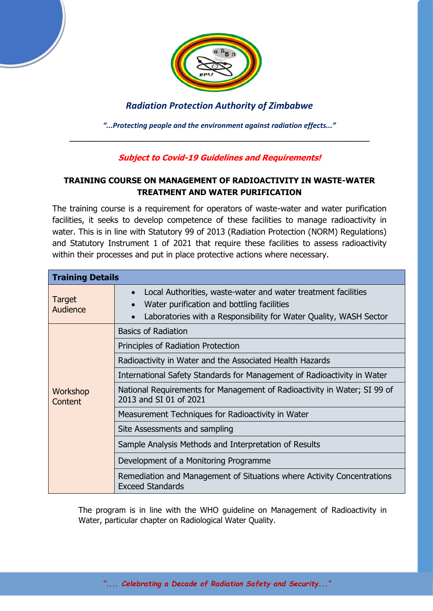

## *Radiation Protection Authority of Zimbabwe*

*"...Protecting people and the environment against radiation effects..."* \_\_\_\_\_\_\_\_\_\_\_\_\_\_\_\_\_\_\_\_\_\_\_\_\_\_\_\_\_\_\_\_\_\_\_\_\_\_\_\_\_\_\_\_\_\_\_\_\_\_\_\_\_\_

## **Subject to Covid-19 Guidelines and Requirements!**

## **TRAINING COURSE ON MANAGEMENT OF RADIOACTIVITY IN WASTE-WATER TREATMENT AND WATER PURIFICATION**

The training course is a requirement for operators of waste-water and water purification facilities, it seeks to develop competence of these facilities to manage radioactivity in water. This is in line with Statutory 99 of 2013 (Radiation Protection (NORM) Regulations) and Statutory Instrument 1 of 2021 that require these facilities to assess radioactivity within their processes and put in place protective actions where necessary.

| <b>Training Details</b> |                                                                                                                                                                                                            |
|-------------------------|------------------------------------------------------------------------------------------------------------------------------------------------------------------------------------------------------------|
| Target<br>Audience      | Local Authorities, waste-water and water treatment facilities<br>$\bullet$<br>Water purification and bottling facilities<br>Laboratories with a Responsibility for Water Quality, WASH Sector<br>$\bullet$ |
| Workshop<br>Content     | <b>Basics of Radiation</b>                                                                                                                                                                                 |
|                         | Principles of Radiation Protection                                                                                                                                                                         |
|                         | Radioactivity in Water and the Associated Health Hazards                                                                                                                                                   |
|                         | International Safety Standards for Management of Radioactivity in Water                                                                                                                                    |
|                         | National Requirements for Management of Radioactivity in Water; SI 99 of<br>2013 and SI 01 of 2021                                                                                                         |
|                         | Measurement Techniques for Radioactivity in Water                                                                                                                                                          |
|                         | Site Assessments and sampling                                                                                                                                                                              |
|                         | Sample Analysis Methods and Interpretation of Results                                                                                                                                                      |
|                         | Development of a Monitoring Programme                                                                                                                                                                      |
|                         | Remediation and Management of Situations where Activity Concentrations<br><b>Exceed Standards</b>                                                                                                          |

The program is in line with the WHO guideline on Management of Radioactivity in Water, particular chapter on Radiological Water Quality.

*".... Celebrating a Decade of Radiation Safety and Security..."*